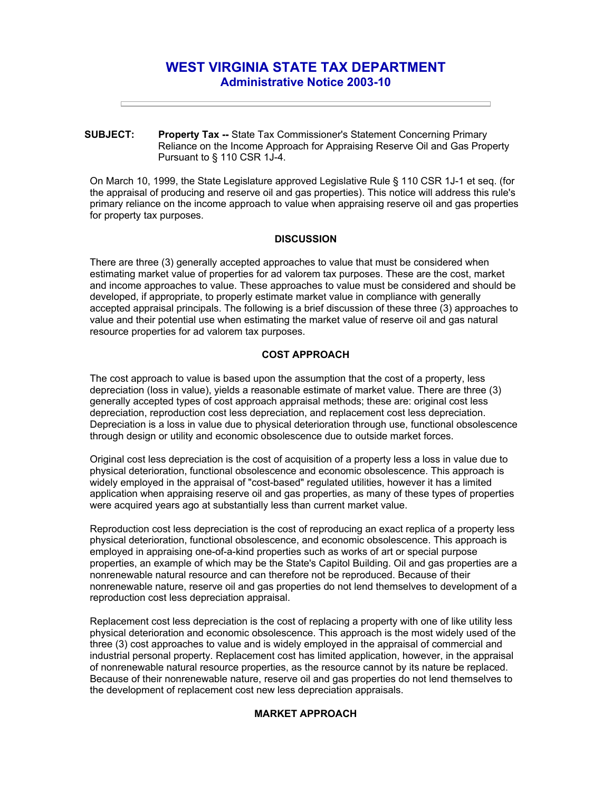# **WEST VIRGINIA STATE TAX DEPARTMENT Administrative Notice 2003-10**

**SUBJECT: Property Tax --** State Tax Commissioner's Statement Concerning Primary Reliance on the Income Approach for Appraising Reserve Oil and Gas Property Pursuant to § 110 CSR 1J-4.

On March 10, 1999, the State Legislature approved Legislative Rule § 110 CSR 1J-1 et seq. (for the appraisal of producing and reserve oil and gas properties). This notice will address this rule's primary reliance on the income approach to value when appraising reserve oil and gas properties for property tax purposes.

#### **DISCUSSION**

There are three (3) generally accepted approaches to value that must be considered when estimating market value of properties for ad valorem tax purposes. These are the cost, market and income approaches to value. These approaches to value must be considered and should be developed, if appropriate, to properly estimate market value in compliance with generally accepted appraisal principals. The following is a brief discussion of these three (3) approaches to value and their potential use when estimating the market value of reserve oil and gas natural resource properties for ad valorem tax purposes.

## **COST APPROACH**

The cost approach to value is based upon the assumption that the cost of a property, less depreciation (loss in value), yields a reasonable estimate of market value. There are three (3) generally accepted types of cost approach appraisal methods; these are: original cost less depreciation, reproduction cost less depreciation, and replacement cost less depreciation. Depreciation is a loss in value due to physical deterioration through use, functional obsolescence through design or utility and economic obsolescence due to outside market forces.

Original cost less depreciation is the cost of acquisition of a property less a loss in value due to physical deterioration, functional obsolescence and economic obsolescence. This approach is widely employed in the appraisal of "cost-based" regulated utilities, however it has a limited application when appraising reserve oil and gas properties, as many of these types of properties were acquired years ago at substantially less than current market value.

Reproduction cost less depreciation is the cost of reproducing an exact replica of a property less physical deterioration, functional obsolescence, and economic obsolescence. This approach is employed in appraising one-of-a-kind properties such as works of art or special purpose properties, an example of which may be the State's Capitol Building. Oil and gas properties are a nonrenewable natural resource and can therefore not be reproduced. Because of their nonrenewable nature, reserve oil and gas properties do not lend themselves to development of a reproduction cost less depreciation appraisal.

Replacement cost less depreciation is the cost of replacing a property with one of like utility less physical deterioration and economic obsolescence. This approach is the most widely used of the three (3) cost approaches to value and is widely employed in the appraisal of commercial and industrial personal property. Replacement cost has limited application, however, in the appraisal of nonrenewable natural resource properties, as the resource cannot by its nature be replaced. Because of their nonrenewable nature, reserve oil and gas properties do not lend themselves to the development of replacement cost new less depreciation appraisals.

## **MARKET APPROACH**